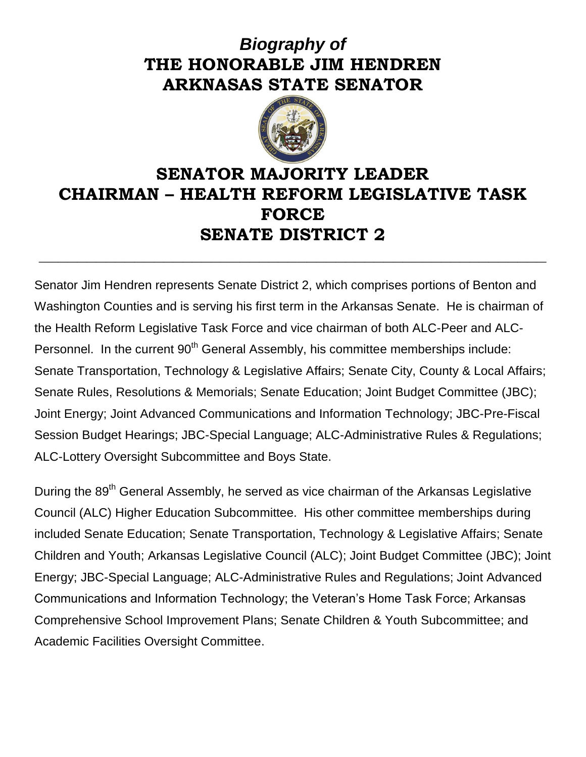## *Biography of* **THE HONORABLE JIM HENDREN ARKNASAS STATE SENATOR**



## **SENATOR MAJORITY LEADER CHAIRMAN – HEALTH REFORM LEGISLATIVE TASK FORCE SENATE DISTRICT 2 \_\_\_\_\_\_\_\_\_\_\_\_\_\_\_\_\_\_\_\_\_\_\_\_\_\_\_\_\_\_\_\_\_\_\_\_\_\_\_\_\_\_\_\_\_\_\_\_\_\_\_\_\_**

Senator Jim Hendren represents Senate District 2, which comprises portions of Benton and Washington Counties and is serving his first term in the Arkansas Senate. He is chairman of the Health Reform Legislative Task Force and vice chairman of both ALC-Peer and ALC-Personnel. In the current 90<sup>th</sup> General Assembly, his committee memberships include: Senate Transportation, Technology & Legislative Affairs; Senate City, County & Local Affairs; Senate Rules, Resolutions & Memorials; Senate Education; Joint Budget Committee (JBC); Joint Energy; Joint Advanced Communications and Information Technology; JBC-Pre-Fiscal Session Budget Hearings; JBC-Special Language; ALC-Administrative Rules & Regulations; ALC-Lottery Oversight Subcommittee and Boys State.

During the 89<sup>th</sup> General Assembly, he served as vice chairman of the Arkansas Legislative Council (ALC) Higher Education Subcommittee. His other committee memberships during included Senate Education; Senate Transportation, Technology & Legislative Affairs; Senate Children and Youth; Arkansas Legislative Council (ALC); Joint Budget Committee (JBC); Joint Energy; JBC-Special Language; ALC-Administrative Rules and Regulations; Joint Advanced Communications and Information Technology; the Veteran's Home Task Force; Arkansas Comprehensive School Improvement Plans; Senate Children & Youth Subcommittee; and Academic Facilities Oversight Committee.